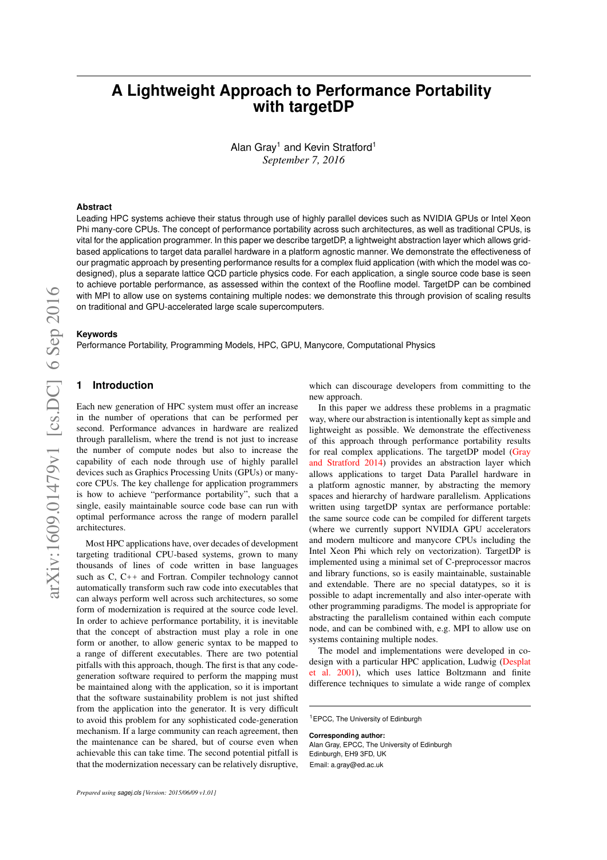# **A Lightweight Approach to Performance Portability with targetDP**

Alan Gray<sup>1</sup> and Kevin Stratford<sup>1</sup> *September 7, 2016*

#### **Abstract**

Leading HPC systems achieve their status through use of highly parallel devices such as NVIDIA GPUs or Intel Xeon Phi many-core CPUs. The concept of performance portability across such architectures, as well as traditional CPUs, is vital for the application programmer. In this paper we describe targetDP, a lightweight abstraction layer which allows gridbased applications to target data parallel hardware in a platform agnostic manner. We demonstrate the effectiveness of our pragmatic approach by presenting performance results for a complex fluid application (with which the model was codesigned), plus a separate lattice QCD particle physics code. For each application, a single source code base is seen to achieve portable performance, as assessed within the context of the Roofline model. TargetDP can be combined with MPI to allow use on systems containing multiple nodes: we demonstrate this through provision of scaling results on traditional and GPU-accelerated large scale supercomputers.

#### **Keywords**

Performance Portability, Programming Models, HPC, GPU, Manycore, Computational Physics

# **1 Introduction**

Each new generation of HPC system must offer an increase in the number of operations that can be performed per second. Performance advances in hardware are realized through parallelism, where the trend is not just to increase the number of compute nodes but also to increase the capability of each node through use of highly parallel devices such as Graphics Processing Units (GPUs) or manycore CPUs. The key challenge for application programmers is how to achieve "performance portability", such that a single, easily maintainable source code base can run with optimal performance across the range of modern parallel architectures.

Most HPC applications have, over decades of development targeting traditional CPU-based systems, grown to many thousands of lines of code written in base languages such as C, C++ and Fortran. Compiler technology cannot automatically transform such raw code into executables that can always perform well across such architectures, so some form of modernization is required at the source code level. In order to achieve performance portability, it is inevitable that the concept of abstraction must play a role in one form or another, to allow generic syntax to be mapped to a range of different executables. There are two potential pitfalls with this approach, though. The first is that any codegeneration software required to perform the mapping must be maintained along with the application, so it is important that the software sustainability problem is not just shifted from the application into the generator. It is very difficult to avoid this problem for any sophisticated code-generation mechanism. If a large community can reach agreement, then the maintenance can be shared, but of course even when achievable this can take time. The second potential pitfall is that the modernization necessary can be relatively disruptive,

which can discourage developers from committing to the new approach.

In this paper we address these problems in a pragmatic way, where our abstraction is intentionally kept as simple and lightweight as possible. We demonstrate the effectiveness of this approach through performance portability results for real complex applications. The targetDP model (Gray and Stratford 2014) provides an abstraction layer which allows applications to target Data Parallel hardware in a platform agnostic manner, by abstracting the memory spaces and hierarchy of hardware parallelism. Applications written using targetDP syntax are performance portable: the same source code can be compiled for different targets (where we currently support NVIDIA GPU accelerators and modern multicore and manycore CPUs including the Intel Xeon Phi which rely on vectorization). TargetDP is implemented using a minimal set of C-preprocessor macros and library functions, so is easily maintainable, sustainable and extendable. There are no special datatypes, so it is possible to adapt incrementally and also inter-operate with other programming paradigms. The model is appropriate for abstracting the parallelism contained within each compute node, and can be combined with, e.g. MPI to allow use on systems containing multiple nodes.

The model and implementations were developed in codesign with a particular HPC application, Ludwig (Desplat et al. 2001), which uses lattice Boltzmann and finite difference techniques to simulate a wide range of complex

Email: a.gray@ed.ac.uk

**Corresponding author:** Alan Gray, EPCC, The University of Edinburgh Edinburgh, EH9 3FD, UK

<sup>1</sup>EPCC, The University of Edinburgh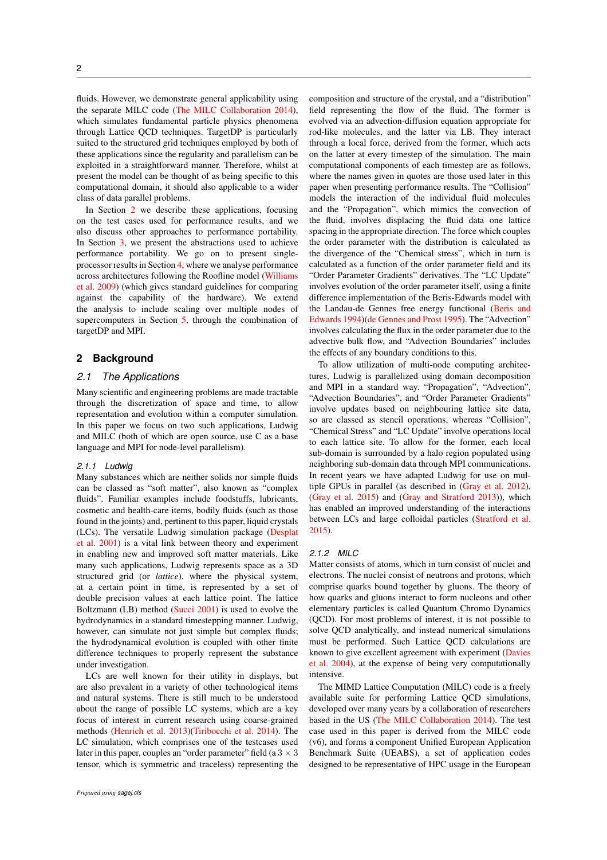fluids. However, we demonstrate general applicability using the separate MILC code (The MILC Collaboration 2014), which simulates fundamental particle physics phenomena through Lattice QCD techniques. TargetDP is particularly suited to the structured grid techniques employed by both of these applications since the regularity and parallelism can be exploited in a straightforward manner. Therefore, whilst at present the model can be thought of as being specific to this computational domain, it should also applicable to a wider class of data parallel problems.

In Section 2 we describe these applications, focusing on the test cases used for performance results, and we also discuss other approaches to performance portability. In Section 3, we present the abstractions used to achieve performance portability. We go on to present singleprocessor results in Section 4, where we analyse performance across architectures following the Roofline model (Williams et al. 2009) (which gives standard guidelines for comparing against the capability of the hardware). We extend the analysis to include scaling over multiple nodes of supercomputers in Section 5, through the combination of targetDP and MPI.

# **2 Background**

# *2.1 The Applications*

Many scientific and engineering problems are made tractable through the discretization of space and time, to allow representation and evolution within a computer simulation. In this paper we focus on two such applications, Ludwig and MILC (both of which are open source, use C as a base language and MPI for node-level parallelism).

#### *2.1.1 Ludwig*

Many substances which are neither solids nor simple fluids can be classed as "soft matter", also known as "complex fluids". Familiar examples include foodstuffs, lubricants, cosmetic and health-care items, bodily fluids (such as those found in the joints) and, pertinent to this paper, liquid crystals (LCs). The versatile Ludwig simulation package (Desplat et al. 2001) is a vital link between theory and experiment in enabling new and improved soft matter materials. Like many such applications, Ludwig represents space as a 3D structured grid (or *lattice*), where the physical system, at a certain point in time, is represented by a set of double precision values at each lattice point. The lattice Boltzmann (LB) method (Succi 2001) is used to evolve the hydrodynamics in a standard timestepping manner. Ludwig, however, can simulate not just simple but complex fluids; the hydrodynamical evolution is coupled with other finite difference techniques to properly represent the substance under investigation.

LCs are well known for their utility in displays, but are also prevalent in a variety of other technological items and natural systems. There is still much to be understood about the range of possible LC systems, which are a key focus of interest in current research using coarse-grained methods (Henrich et al. 2013)(Tiribocchi et al. 2014). The LC simulation, which comprises one of the testcases used later in this paper, couples an "order parameter" field (a  $3 \times 3$ tensor, which is symmetric and traceless) representing the composition and structure of the crystal, and a "distribution" field representing the flow of the fluid. The former is evolved via an advection-diffusion equation appropriate for rod-like molecules, and the latter via LB. They interact through a local force, derived from the former, which acts on the latter at every timestep of the simulation. The main computational components of each timestep are as follows, where the names given in quotes are those used later in this paper when presenting performance results. The "Collision" models the interaction of the individual fluid molecules and the "Propagation", which mimics the convection of the fluid, involves displacing the fluid data one lattice spacing in the appropriate direction. The force which couples the order parameter with the distribution is calculated as the divergence of the "Chemical stress", which in turn is calculated as a function of the order parameter field and its "Order Parameter Gradients" derivatives. The "LC Update" involves evolution of the order parameter itself, using a finite difference implementation of the Beris-Edwards model with the Landau-de Gennes free energy functional (Beris and Edwards 1994)(de Gennes and Prost 1995). The "Advection" involves calculating the flux in the order parameter due to the advective bulk flow, and "Advection Boundaries" includes the effects of any boundary conditions to this.

To allow utilization of multi-node computing architectures, Ludwig is parallelized using domain decomposition and MPI in a standard way. "Propagation", "Advection", "Advection Boundaries", and "Order Parameter Gradients" involve updates based on neighbouring lattice site data, so are classed as stencil operations, whereas "Collision", "Chemical Stress" and "LC Update" involve operations local to each lattice site. To allow for the former, each local sub-domain is surrounded by a halo region populated using neighboring sub-domain data through MPI communications. In recent years we have adapted Ludwig for use on multiple GPUs in parallel (as described in (Gray et al. 2012), (Gray et al. 2015) and (Gray and Stratford 2013)), which has enabled an improved understanding of the interactions between LCs and large colloidal particles (Stratford et al. 2015).

## *2.1.2 MILC*

Matter consists of atoms, which in turn consist of nuclei and electrons. The nuclei consist of neutrons and protons, which comprise quarks bound together by gluons. The theory of how quarks and gluons interact to form nucleons and other elementary particles is called Quantum Chromo Dynamics (QCD). For most problems of interest, it is not possible to solve QCD analytically, and instead numerical simulations must be performed. Such Lattice QCD calculations are known to give excellent agreement with experiment (Davies et al. 2004), at the expense of being very computationally intensive.

The MIMD Lattice Computation (MILC) code is a freely available suite for performing Lattice QCD simulations, developed over many years by a collaboration of researchers based in the US (The MILC Collaboration 2014). The test case used in this paper is derived from the MILC code (v6), and forms a component Unified European Application Benchmark Suite (UEABS), a set of application codes designed to be representative of HPC usage in the European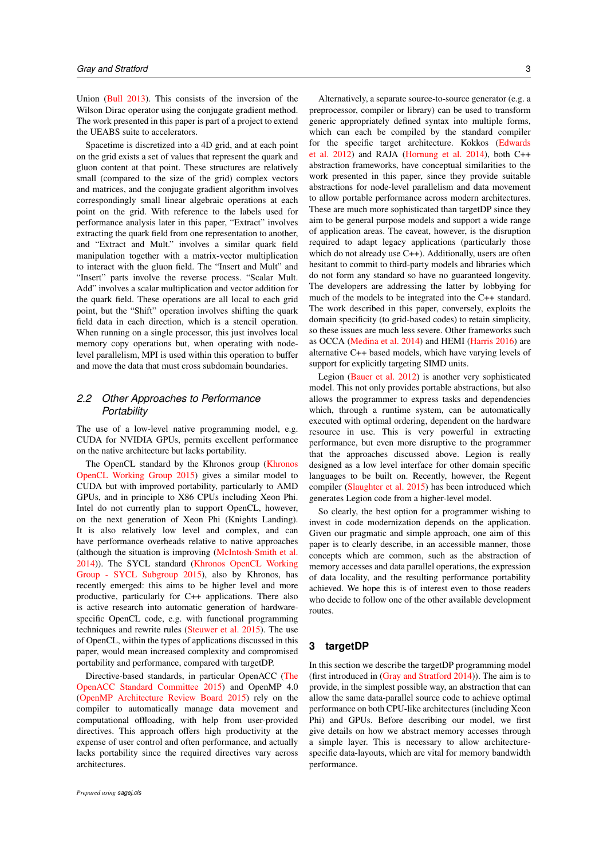Union (Bull 2013). This consists of the inversion of the Wilson Dirac operator using the conjugate gradient method. The work presented in this paper is part of a project to extend the UEABS suite to accelerators.

Spacetime is discretized into a 4D grid, and at each point on the grid exists a set of values that represent the quark and gluon content at that point. These structures are relatively small (compared to the size of the grid) complex vectors and matrices, and the conjugate gradient algorithm involves correspondingly small linear algebraic operations at each point on the grid. With reference to the labels used for performance analysis later in this paper, "Extract" involves extracting the quark field from one representation to another, and "Extract and Mult." involves a similar quark field manipulation together with a matrix-vector multiplication to interact with the gluon field. The "Insert and Mult" and "Insert" parts involve the reverse process. "Scalar Mult. Add" involves a scalar multiplication and vector addition for the quark field. These operations are all local to each grid point, but the "Shift" operation involves shifting the quark field data in each direction, which is a stencil operation. When running on a single processor, this just involves local memory copy operations but, when operating with nodelevel parallelism, MPI is used within this operation to buffer and move the data that must cross subdomain boundaries.

# *2.2 Other Approaches to Performance Portability*

The use of a low-level native programming model, e.g. CUDA for NVIDIA GPUs, permits excellent performance on the native architecture but lacks portability.

The OpenCL standard by the Khronos group (Khronos OpenCL Working Group 2015) gives a similar model to CUDA but with improved portability, particularly to AMD GPUs, and in principle to X86 CPUs including Xeon Phi. Intel do not currently plan to support OpenCL, however, on the next generation of Xeon Phi (Knights Landing). It is also relatively low level and complex, and can have performance overheads relative to native approaches (although the situation is improving (McIntosh-Smith et al. 2014)). The SYCL standard (Khronos OpenCL Working Group - SYCL Subgroup 2015), also by Khronos, has recently emerged: this aims to be higher level and more productive, particularly for C++ applications. There also is active research into automatic generation of hardwarespecific OpenCL code, e.g. with functional programming techniques and rewrite rules (Steuwer et al. 2015). The use of OpenCL, within the types of applications discussed in this paper, would mean increased complexity and compromised portability and performance, compared with targetDP.

Directive-based standards, in particular OpenACC (The OpenACC Standard Committee 2015) and OpenMP 4.0 (OpenMP Architecture Review Board 2015) rely on the compiler to automatically manage data movement and computational offloading, with help from user-provided directives. This approach offers high productivity at the expense of user control and often performance, and actually lacks portability since the required directives vary across architectures.

Alternatively, a separate source-to-source generator (e.g. a preprocessor, compiler or library) can be used to transform generic appropriately defined syntax into multiple forms, which can each be compiled by the standard compiler for the specific target architecture. Kokkos (Edwards et al. 2012) and RAJA (Hornung et al. 2014), both C++ abstraction frameworks, have conceptual similarities to the work presented in this paper, since they provide suitable abstractions for node-level parallelism and data movement to allow portable performance across modern architectures. These are much more sophisticated than targetDP since they aim to be general purpose models and support a wide range of application areas. The caveat, however, is the disruption required to adapt legacy applications (particularly those which do not already use C++). Additionally, users are often hesitant to commit to third-party models and libraries which do not form any standard so have no guaranteed longevity. The developers are addressing the latter by lobbying for much of the models to be integrated into the C++ standard. The work described in this paper, conversely, exploits the domain specificity (to grid-based codes) to retain simplicity, so these issues are much less severe. Other frameworks such as OCCA (Medina et al. 2014) and HEMI (Harris 2016) are alternative C++ based models, which have varying levels of support for explicitly targeting SIMD units.

Legion (Bauer et al. 2012) is another very sophisticated model. This not only provides portable abstractions, but also allows the programmer to express tasks and dependencies which, through a runtime system, can be automatically executed with optimal ordering, dependent on the hardware resource in use. This is very powerful in extracting performance, but even more disruptive to the programmer that the approaches discussed above. Legion is really designed as a low level interface for other domain specific languages to be built on. Recently, however, the Regent compiler (Slaughter et al. 2015) has been introduced which generates Legion code from a higher-level model.

So clearly, the best option for a programmer wishing to invest in code modernization depends on the application. Given our pragmatic and simple approach, one aim of this paper is to clearly describe, in an accessible manner, those concepts which are common, such as the abstraction of memory accesses and data parallel operations, the expression of data locality, and the resulting performance portability achieved. We hope this is of interest even to those readers who decide to follow one of the other available development routes.

## **3 targetDP**

In this section we describe the targetDP programming model (first introduced in (Gray and Stratford 2014)). The aim is to provide, in the simplest possible way, an abstraction that can allow the same data-parallel source code to achieve optimal performance on both CPU-like architectures (including Xeon Phi) and GPUs. Before describing our model, we first give details on how we abstract memory accesses through a simple layer. This is necessary to allow architecturespecific data-layouts, which are vital for memory bandwidth performance.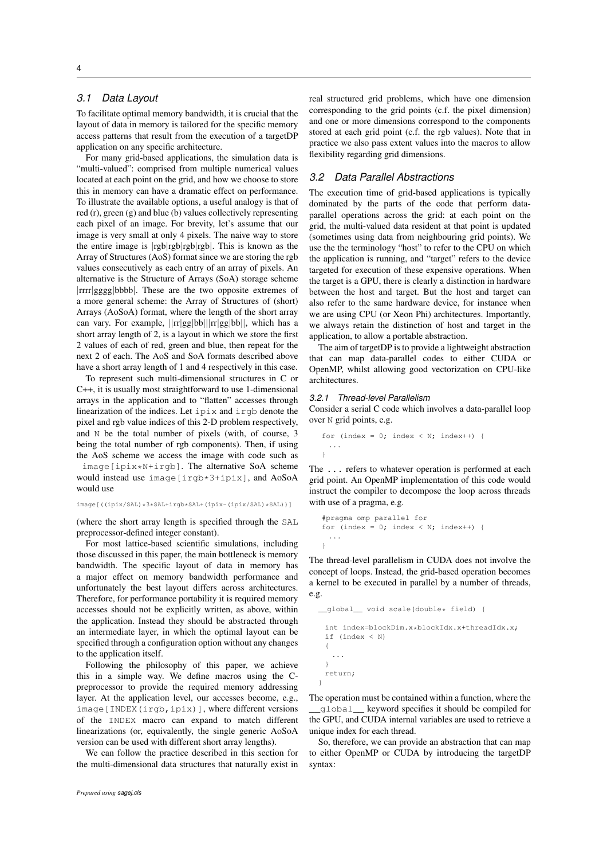#### 4

# *3.1 Data Layout*

To facilitate optimal memory bandwidth, it is crucial that the layout of data in memory is tailored for the specific memory access patterns that result from the execution of a targetDP application on any specific architecture.

For many grid-based applications, the simulation data is "multi-valued": comprised from multiple numerical values located at each point on the grid, and how we choose to store this in memory can have a dramatic effect on performance. To illustrate the available options, a useful analogy is that of red (r), green (g) and blue (b) values collectively representing each pixel of an image. For brevity, let's assume that our image is very small at only 4 pixels. The naive way to store the entire image is *|*rgb*|*rgb*|*rgb*|*rgb*|*. This is known as the Array of Structures (AoS) format since we are storing the rgb values consecutively as each entry of an array of pixels. An alternative is the Structure of Arrays (SoA) storage scheme *|*rrrr*|*gggg*|*bbbb*|*. These are the two opposite extremes of a more general scheme: the Array of Structures of (short) Arrays (AoSoA) format, where the length of the short array can vary. For example, *||*rr*|*gg*|*bb*|||*rr*|*gg*|*bb*||*, which has a short array length of 2, is a layout in which we store the first 2 values of each of red, green and blue, then repeat for the next 2 of each. The AoS and SoA formats described above have a short array length of 1 and 4 respectively in this case.

To represent such multi-dimensional structures in C or C++, it is usually most straightforward to use 1-dimensional arrays in the application and to "flatten" accesses through linearization of the indices. Let ipix and irgb denote the pixel and rgb value indices of this 2-D problem respectively, and N be the total number of pixels (with, of course, 3 being the total number of rgb components). Then, if using the AoS scheme we access the image with code such as image[ipix\*N+irgb]. The alternative SoA scheme would instead use image[irgb\*3+ipix], and AoSoA would use

image[((ipix/SAL)\*3\*SAL+irgb\*SAL+(ipix-(ipix/SAL)\*SAL))]

(where the short array length is specified through the SAL preprocessor-defined integer constant).

For most lattice-based scientific simulations, including those discussed in this paper, the main bottleneck is memory bandwidth. The specific layout of data in memory has a major effect on memory bandwidth performance and unfortunately the best layout differs across architectures. Therefore, for performance portability it is required memory accesses should not be explicitly written, as above, within the application. Instead they should be abstracted through an intermediate layer, in which the optimal layout can be specified through a configuration option without any changes to the application itself.

Following the philosophy of this paper, we achieve this in a simple way. We define macros using the Cpreprocessor to provide the required memory addressing layer. At the application level, our accesses become, e.g., image[INDEX(irgb,ipix)], where different versions of the INDEX macro can expand to match different linearizations (or, equivalently, the single generic AoSoA version can be used with different short array lengths).

We can follow the practice described in this section for the multi-dimensional data structures that naturally exist in real structured grid problems, which have one dimension corresponding to the grid points (c.f. the pixel dimension) and one or more dimensions correspond to the components stored at each grid point (c.f. the rgb values). Note that in practice we also pass extent values into the macros to allow flexibility regarding grid dimensions.

## *3.2 Data Parallel Abstractions*

The execution time of grid-based applications is typically dominated by the parts of the code that perform dataparallel operations across the grid: at each point on the grid, the multi-valued data resident at that point is updated (sometimes using data from neighbouring grid points). We use the the terminology "host" to refer to the CPU on which the application is running, and "target" refers to the device targeted for execution of these expensive operations. When the target is a GPU, there is clearly a distinction in hardware between the host and target. But the host and target can also refer to the same hardware device, for instance when we are using CPU (or Xeon Phi) architectures. Importantly, we always retain the distinction of host and target in the application, to allow a portable abstraction.

The aim of targetDP is to provide a lightweight abstraction that can map data-parallel codes to either CUDA or OpenMP, whilst allowing good vectorization on CPU-like architectures.

#### *3.2.1 Thread-level Parallelism*

Consider a serial C code which involves a data-parallel loop over N grid points, e.g.

```
for (index = 0; index < N; index ++) {
 ...
}
```
The ... refers to whatever operation is performed at each grid point. An OpenMP implementation of this code would instruct the compiler to decompose the loop across threads with use of a pragma, e.g.

```
#pragma omp parallel for
for (index = 0; index < N; index ++) {
 ...
}
```
The thread-level parallelism in CUDA does not involve the concept of loops. Instead, the grid-based operation becomes a kernel to be executed in parallel by a number of threads, e.g.

```
__global__ void scale(double* field) {
 int index=blockDim.x*blockIdx.x+threadIdx.x;
 if (index < N)
 {
   ...
 }
 return;
}
```
The operation must be contained within a function, where the \_global\_ keyword specifies it should be compiled for the GPU, and CUDA internal variables are used to retrieve a unique index for each thread.

So, therefore, we can provide an abstraction that can map to either OpenMP or CUDA by introducing the targetDP syntax: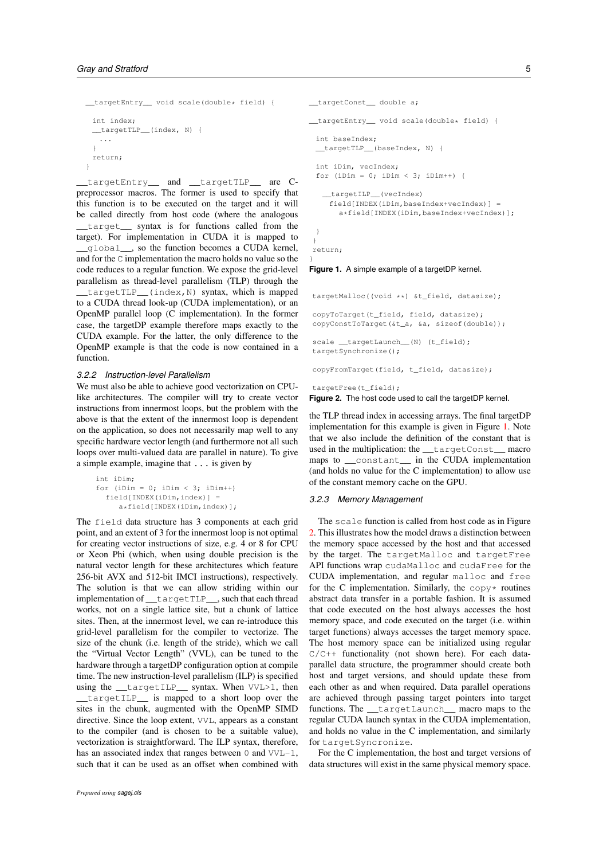```
__targetEntry__ void scale(double* field) {
 int index;
 __targetTLP__(index, N) {
   ...
 }
 return;
}
```
\_\_targetEntry\_\_ and \_\_targetTLP\_\_ are Cpreprocessor macros. The former is used to specify that this function is to be executed on the target and it will be called directly from host code (where the analogous \_\_target\_\_ syntax is for functions called from the target). For implementation in CUDA it is mapped to \_\_global\_\_, so the function becomes a CUDA kernel, and for the C implementation the macro holds no value so the code reduces to a regular function. We expose the grid-level parallelism as thread-level parallelism (TLP) through the \_\_targetTLP\_\_(index,N) syntax, which is mapped to a CUDA thread look-up (CUDA implementation), or an OpenMP parallel loop (C implementation). In the former case, the targetDP example therefore maps exactly to the CUDA example. For the latter, the only difference to the OpenMP example is that the code is now contained in a function.

#### *3.2.2 Instruction-level Parallelism*

We must also be able to achieve good vectorization on CPUlike architectures. The compiler will try to create vector instructions from innermost loops, but the problem with the above is that the extent of the innermost loop is dependent on the application, so does not necessarily map well to any specific hardware vector length (and furthermore not all such loops over multi-valued data are parallel in nature). To give a simple example, imagine that ... is given by

```
int iDim;
for (iDim = 0; iDim < 3; iDim ++)
  field[INDEX(iDim,index)] =
     a*field[INDEX(iDim,index)];
```
The field data structure has 3 components at each grid point, and an extent of 3 for the innermost loop is not optimal for creating vector instructions of size, e.g. 4 or 8 for CPU or Xeon Phi (which, when using double precision is the natural vector length for these architectures which feature 256-bit AVX and 512-bit IMCI instructions), respectively. The solution is that we can allow striding within our implementation of targetTLP, such that each thread works, not on a single lattice site, but a chunk of lattice sites. Then, at the innermost level, we can re-introduce this grid-level parallelism for the compiler to vectorize. The size of the chunk (i.e. length of the stride), which we call the "Virtual Vector Length" (VVL), can be tuned to the hardware through a targetDP configuration option at compile time. The new instruction-level parallelism (ILP) is specified using the \_\_targetILP\_\_ syntax. When VVL>1, then \_\_targetILP\_\_ is mapped to a short loop over the sites in the chunk, augmented with the OpenMP SIMD directive. Since the loop extent, VVL, appears as a constant to the compiler (and is chosen to be a suitable value), vectorization is straightforward. The ILP syntax, therefore, has an associated index that ranges between 0 and  $VVL-1$ , such that it can be used as an offset when combined with

```
targetConst double a;
__targetEntry__ void scale(double* field) {
int baseIndex;
 __targetTLP__(baseIndex, N) {
 int iDim, vecIndex;
 for (iDim = 0; iDim < 3; iDim ++) {
  __targetILP__(vecIndex)
    field[INDEX(iDim,baseIndex+vecIndex)] =
      a*field[INDEX(iDim,baseIndex+vecIndex)];
}
}
return;
```
**Figure 1.** A simple example of a targetDP kernel.

}

```
targetMalloc((void **) &t_field, datasize);
copyToTarget(t_field, field, datasize);
copyConstToTarget(&t_a, &a, sizeof(double));
scale __targetLaunch_(N) (t_field);
targetSynchronize();
copyFromTarget(field, t_field, datasize);
targetFree(t_field);
```
**Figure 2.** The host code used to call the targetDP kernel.

the TLP thread index in accessing arrays. The final targetDP implementation for this example is given in Figure 1. Note that we also include the definition of the constant that is used in the multiplication: the \_\_targetConst\_\_ macro maps to \_\_constant\_\_ in the CUDA implementation (and holds no value for the C implementation) to allow use of the constant memory cache on the GPU.

#### *3.2.3 Memory Management*

The scale function is called from host code as in Figure 2. This illustrates how the model draws a distinction between the memory space accessed by the host and that accessed by the target. The targetMalloc and targetFree API functions wrap cudaMalloc and cudaFree for the CUDA implementation, and regular malloc and free for the C implementation. Similarly, the  $\text{copy}*$  routines abstract data transfer in a portable fashion. It is assumed that code executed on the host always accesses the host memory space, and code executed on the target (i.e. within target functions) always accesses the target memory space. The host memory space can be initialized using regular  $C/C++$  functionality (not shown here). For each dataparallel data structure, the programmer should create both host and target versions, and should update these from each other as and when required. Data parallel operations are achieved through passing target pointers into target functions. The \_\_targetLaunch\_\_ macro maps to the regular CUDA launch syntax in the CUDA implementation, and holds no value in the C implementation, and similarly for targetSyncronize.

For the C implementation, the host and target versions of data structures will exist in the same physical memory space.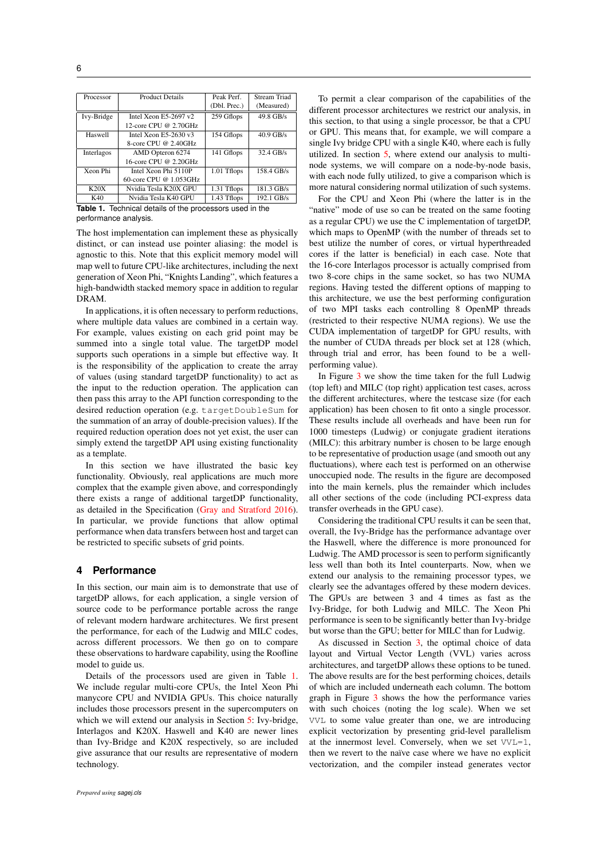| Processor  | <b>Product Details</b>  | Peak Perf.   | <b>Stream Triad</b> |
|------------|-------------------------|--------------|---------------------|
|            |                         | (Dbl. Prec.) | (Measured)          |
| Ivy-Bridge | Intel Xeon $E5-2697$ v2 | 259 Gflops   | 49.8 GB/s           |
|            | 12-core CPU @ 2.70GHz   |              |                     |
| Haswell    | Intel Xeon $E5-2630v3$  | 154 Gflops   | $40.9$ GB/s         |
|            | 8-core CPU $@2.40$ GHz  |              |                     |
| Interlagos | AMD Opteron 6274        | 141 Gflops   | $32.4$ GB/s         |
|            | 16-core CPU @ 2.20GHz   |              |                     |
| Xeon Phi   | Intel Xeon Phi 5110P    | 1.01 Tflops  | $158.4$ GB/s        |
|            | 60-core CPU @ 1.053GHz  |              |                     |
| K20X       | Nvidia Tesla K20X GPU   | 1.31 Tflops  | 181.3 GB/s          |
| K40        | Nvidia Tesla K40 GPU    | 1.43 Tflops  | 192.1 GB/s          |

**Table 1.** Technical details of the processors used in the performance analysis.

The host implementation can implement these as physically distinct, or can instead use pointer aliasing: the model is agnostic to this. Note that this explicit memory model will map well to future CPU-like architectures, including the next generation of Xeon Phi, "Knights Landing", which features a high-bandwidth stacked memory space in addition to regular DRAM.

In applications, it is often necessary to perform reductions, where multiple data values are combined in a certain way. For example, values existing on each grid point may be summed into a single total value. The targetDP model supports such operations in a simple but effective way. It is the responsibility of the application to create the array of values (using standard targetDP functionality) to act as the input to the reduction operation. The application can then pass this array to the API function corresponding to the desired reduction operation (e.g. targetDoubleSum for the summation of an array of double-precision values). If the required reduction operation does not yet exist, the user can simply extend the targetDP API using existing functionality as a template.

In this section we have illustrated the basic key functionality. Obviously, real applications are much more complex that the example given above, and correspondingly there exists a range of additional targetDP functionality, as detailed in the Specification (Gray and Stratford 2016). In particular, we provide functions that allow optimal performance when data transfers between host and target can be restricted to specific subsets of grid points.

# **4 Performance**

In this section, our main aim is to demonstrate that use of targetDP allows, for each application, a single version of source code to be performance portable across the range of relevant modern hardware architectures. We first present the performance, for each of the Ludwig and MILC codes, across different processors. We then go on to compare these observations to hardware capability, using the Roofline model to guide us.

Details of the processors used are given in Table 1. We include regular multi-core CPUs, the Intel Xeon Phi manycore CPU and NVIDIA GPUs. This choice naturally includes those processors present in the supercomputers on which we will extend our analysis in Section 5: Ivy-bridge, Interlagos and K20X. Haswell and K40 are newer lines than Ivy-Bridge and K20X respectively, so are included give assurance that our results are representative of modern technology.

To permit a clear comparison of the capabilities of the different processor architectures we restrict our analysis, in this section, to that using a single processor, be that a CPU or GPU. This means that, for example, we will compare a single Ivy bridge CPU with a single K40, where each is fully utilized. In section 5, where extend our analysis to multinode systems, we will compare on a node-by-node basis, with each node fully utilized, to give a comparison which is more natural considering normal utilization of such systems.

For the CPU and Xeon Phi (where the latter is in the "native" mode of use so can be treated on the same footing as a regular CPU) we use the C implementation of targetDP, which maps to OpenMP (with the number of threads set to best utilize the number of cores, or virtual hyperthreaded cores if the latter is beneficial) in each case. Note that the 16-core Interlagos processor is actually comprised from two 8-core chips in the same socket, so has two NUMA regions. Having tested the different options of mapping to this architecture, we use the best performing configuration of two MPI tasks each controlling 8 OpenMP threads (restricted to their respective NUMA regions). We use the CUDA implementation of targetDP for GPU results, with the number of CUDA threads per block set at 128 (which, through trial and error, has been found to be a wellperforming value).

In Figure 3 we show the time taken for the full Ludwig (top left) and MILC (top right) application test cases, across the different architectures, where the testcase size (for each application) has been chosen to fit onto a single processor. These results include all overheads and have been run for 1000 timesteps (Ludwig) or conjugate gradient iterations (MILC): this arbitrary number is chosen to be large enough to be representative of production usage (and smooth out any fluctuations), where each test is performed on an otherwise unoccupied node. The results in the figure are decomposed into the main kernels, plus the remainder which includes all other sections of the code (including PCI-express data transfer overheads in the GPU case).

Considering the traditional CPU results it can be seen that, overall, the Ivy-Bridge has the performance advantage over the Haswell, where the difference is more pronounced for Ludwig. The AMD processor is seen to perform significantly less well than both its Intel counterparts. Now, when we extend our analysis to the remaining processor types, we clearly see the advantages offered by these modern devices. The GPUs are between 3 and 4 times as fast as the Ivy-Bridge, for both Ludwig and MILC. The Xeon Phi performance is seen to be significantly better than Ivy-bridge but worse than the GPU; better for MILC than for Ludwig.

As discussed in Section 3, the optimal choice of data layout and Virtual Vector Length (VVL) varies across architectures, and targetDP allows these options to be tuned. The above results are for the best performing choices, details of which are included underneath each column. The bottom graph in Figure 3 shows the how the performance varies with such choices (noting the log scale). When we set VVL to some value greater than one, we are introducing explicit vectorization by presenting grid-level parallelism at the innermost level. Conversely, when we set VVL=1, then we revert to the naïve case where we have no explicit vectorization, and the compiler instead generates vector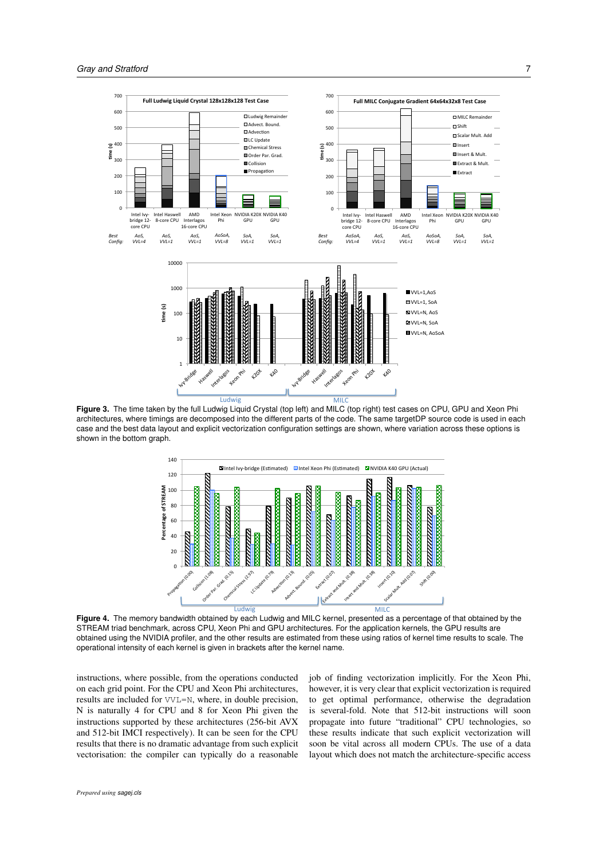

**Figure 3.** The time taken by the full Ludwig Liquid Crystal (top left) and MILC (top right) test cases on CPU, GPU and Xeon Phi architectures, where timings are decomposed into the different parts of the code. The same targetDP source code is used in each case and the best data layout and explicit vectorization configuration settings are shown, where variation across these options is shown in the bottom graph.



**Figure 4.** The memory bandwidth obtained by each Ludwig and MILC kernel, presented as a percentage of that obtained by the STREAM triad benchmark, across CPU, Xeon Phi and GPU architectures. For the application kernels, the GPU results are obtained using the NVIDIA profiler, and the other results are estimated from these using ratios of kernel time results to scale. The operational intensity of each kernel is given in brackets after the kernel name.

instructions, where possible, from the operations conducted on each grid point. For the CPU and Xeon Phi architectures, results are included for VVL=N, where, in double precision, N is naturally 4 for CPU and 8 for Xeon Phi given the instructions supported by these architectures (256-bit AVX and 512-bit IMCI respectively). It can be seen for the CPU results that there is no dramatic advantage from such explicit vectorisation: the compiler can typically do a reasonable job of finding vectorization implicitly. For the Xeon Phi, however, it is very clear that explicit vectorization is required to get optimal performance, otherwise the degradation is several-fold. Note that 512-bit instructions will soon propagate into future "traditional" CPU technologies, so these results indicate that such explicit vectorization will soon be vital across all modern CPUs. The use of a data layout which does not match the architecture-specific access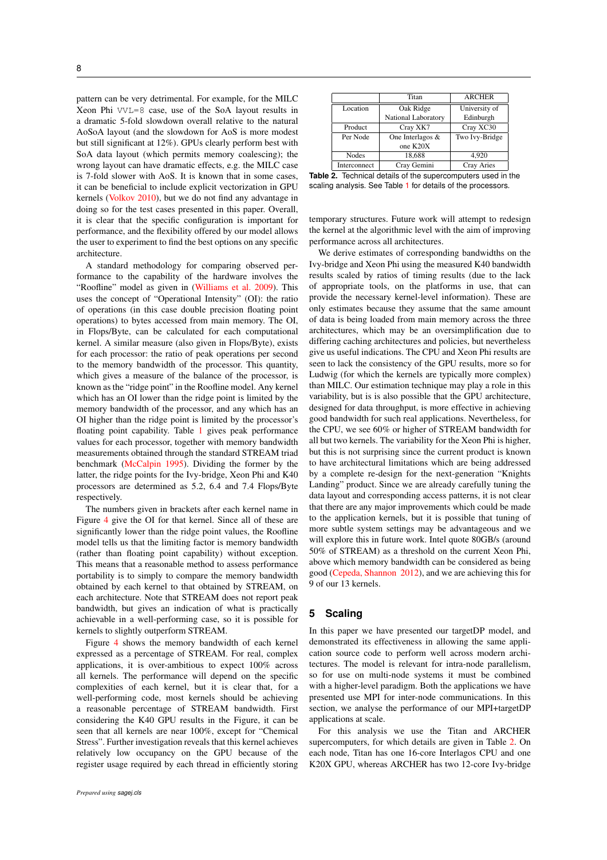pattern can be very detrimental. For example, for the MILC Xeon Phi VVL=8 case, use of the SoA layout results in a dramatic 5-fold slowdown overall relative to the natural AoSoA layout (and the slowdown for AoS is more modest but still significant at 12%). GPUs clearly perform best with SoA data layout (which permits memory coalescing); the wrong layout can have dramatic effects, e.g. the MILC case is 7-fold slower with AoS. It is known that in some cases, it can be beneficial to include explicit vectorization in GPU kernels (Volkov 2010), but we do not find any advantage in doing so for the test cases presented in this paper. Overall, it is clear that the specific configuration is important for performance, and the flexibility offered by our model allows the user to experiment to find the best options on any specific architecture.

A standard methodology for comparing observed performance to the capability of the hardware involves the "Roofline" model as given in (Williams et al. 2009). This uses the concept of "Operational Intensity" (OI): the ratio of operations (in this case double precision floating point operations) to bytes accessed from main memory. The OI, in Flops/Byte, can be calculated for each computational kernel. A similar measure (also given in Flops/Byte), exists for each processor: the ratio of peak operations per second to the memory bandwidth of the processor. This quantity, which gives a measure of the balance of the processor, is known as the "ridge point" in the Roofline model. Any kernel which has an OI lower than the ridge point is limited by the memory bandwidth of the processor, and any which has an OI higher than the ridge point is limited by the processor's floating point capability. Table 1 gives peak performance values for each processor, together with memory bandwidth measurements obtained through the standard STREAM triad benchmark (McCalpin 1995). Dividing the former by the latter, the ridge points for the Ivy-bridge, Xeon Phi and K40 processors are determined as 5.2, 6.4 and 7.4 Flops/Byte respectively.

The numbers given in brackets after each kernel name in Figure 4 give the OI for that kernel. Since all of these are significantly lower than the ridge point values, the Roofline model tells us that the limiting factor is memory bandwidth (rather than floating point capability) without exception. This means that a reasonable method to assess performance portability is to simply to compare the memory bandwidth obtained by each kernel to that obtained by STREAM, on each architecture. Note that STREAM does not report peak bandwidth, but gives an indication of what is practically achievable in a well-performing case, so it is possible for kernels to slightly outperform STREAM.

Figure 4 shows the memory bandwidth of each kernel expressed as a percentage of STREAM. For real, complex applications, it is over-ambitious to expect 100% across all kernels. The performance will depend on the specific complexities of each kernel, but it is clear that, for a well-performing code, most kernels should be achieving a reasonable percentage of STREAM bandwidth. First considering the K40 GPU results in the Figure, it can be seen that all kernels are near 100%, except for "Chemical Stress". Further investigation reveals that this kernel achieves relatively low occupancy on the GPU because of the register usage required by each thread in efficiently storing

**Table 2.** Technical details of the supercomputers used in the scaling analysis. See Table 1 for details of the processors.

temporary structures. Future work will attempt to redesign the kernel at the algorithmic level with the aim of improving performance across all architectures.

We derive estimates of corresponding bandwidths on the Ivy-bridge and Xeon Phi using the measured K40 bandwidth results scaled by ratios of timing results (due to the lack of appropriate tools, on the platforms in use, that can provide the necessary kernel-level information). These are only estimates because they assume that the same amount of data is being loaded from main memory across the three architectures, which may be an oversimplification due to differing caching architectures and policies, but nevertheless give us useful indications. The CPU and Xeon Phi results are seen to lack the consistency of the GPU results, more so for Ludwig (for which the kernels are typically more complex) than MILC. Our estimation technique may play a role in this variability, but is is also possible that the GPU architecture, designed for data throughput, is more effective in achieving good bandwidth for such real applications. Nevertheless, for the CPU, we see 60% or higher of STREAM bandwidth for all but two kernels. The variability for the Xeon Phi is higher, but this is not surprising since the current product is known to have architectural limitations which are being addressed by a complete re-design for the next-generation "Knights Landing" product. Since we are already carefully tuning the data layout and corresponding access patterns, it is not clear that there are any major improvements which could be made to the application kernels, but it is possible that tuning of more subtle system settings may be advantageous and we will explore this in future work. Intel quote 80GB/s (around 50% of STREAM) as a threshold on the current Xeon Phi, above which memory bandwidth can be considered as being good (Cepeda, Shannon 2012), and we are achieving this for 9 of our 13 kernels.

# **5 Scaling**

In this paper we have presented our targetDP model, and demonstrated its effectiveness in allowing the same application source code to perform well across modern architectures. The model is relevant for intra-node parallelism, so for use on multi-node systems it must be combined with a higher-level paradigm. Both the applications we have presented use MPI for inter-node communications. In this section, we analyse the performance of our MPI+targetDP applications at scale.

For this analysis we use the Titan and ARCHER supercomputers, for which details are given in Table 2. On each node, Titan has one 16-core Interlagos CPU and one K20X GPU, whereas ARCHER has two 12-core Ivy-bridge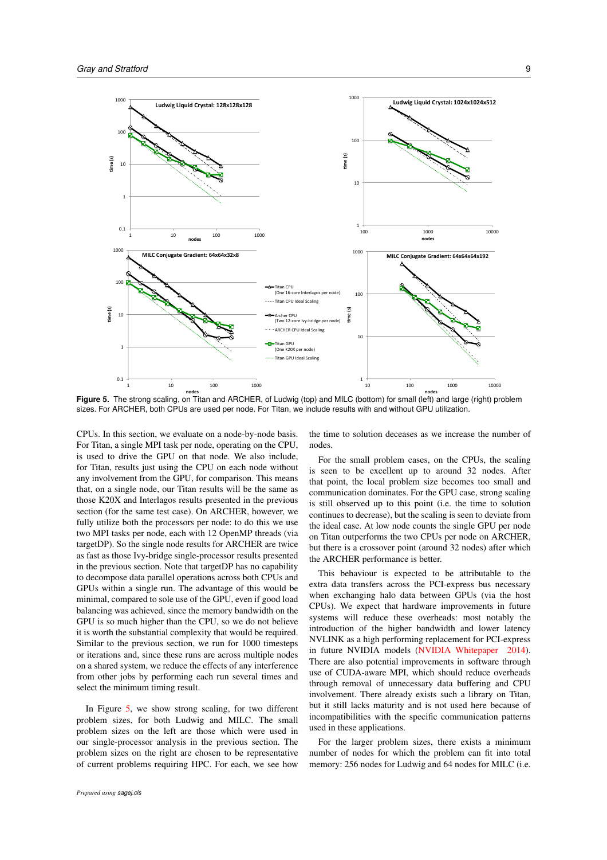

**nodes\$ nodes\$ nodes\$ Figure 5.** The strong scaling, on Titan and ARCHER, of Ludwig (top) and MILC (bottom) for small (left) and large (right) problem sizes. For ARCHER, both CPUs are used per node. For Titan, we include results with and without GPU utilization.

CPUs. In this section, we evaluate on a node-by-node basis. For Titan, a single MPI task per node, operating on the CPU, is used to drive the GPU on that node. We also include, for Titan, results just using the CPU on each node without any involvement from the GPU, for comparison. This means that, on a single node, our Titan results will be the same as those K20X and Interlagos results presented in the previous section (for the same test case). On ARCHER, however, we fully utilize both the processors per node: to do this we use two MPI tasks per node, each with 12 OpenMP threads (via targetDP). So the single node results for ARCHER are twice as fast as those Ivy-bridge single-processor results presented in the previous section. Note that targetDP has no capability to decompose data parallel operations across both CPUs and GPUs within a single run. The advantage of this would be minimal, compared to sole use of the GPU, even if good load balancing was achieved, since the memory bandwidth on the GPU is so much higher than the CPU, so we do not believe it is worth the substantial complexity that would be required. Similar to the previous section, we run for 1000 timesteps or iterations and, since these runs are across multiple nodes on a shared system, we reduce the effects of any interference from other jobs by performing each run several times and select the minimum timing result.

In Figure 5, we show strong scaling, for two different problem sizes, for both Ludwig and MILC. The small problem sizes on the left are those which were used in our single-processor analysis in the previous section. The problem sizes on the right are chosen to be representative of current problems requiring HPC. For each, we see how the time to solution deceases as we increase the number of nodes.

For the small problem cases, on the CPUs, the scaling is seen to be excellent up to around 32 nodes. After that point, the local problem size becomes too small and communication dominates. For the GPU case, strong scaling is still observed up to this point (i.e. the time to solution continues to decrease), but the scaling is seen to deviate from the ideal case. At low node counts the single GPU per node on Titan outperforms the two CPUs per node on ARCHER, but there is a crossover point (around 32 nodes) after which the ARCHER performance is better.

This behaviour is expected to be attributable to the extra data transfers across the PCI-express bus necessary when exchanging halo data between GPUs (via the host CPUs). We expect that hardware improvements in future systems will reduce these overheads: most notably the introduction of the higher bandwidth and lower latency NVLINK as a high performing replacement for PCI-express in future NVIDIA models (NVIDIA Whitepaper 2014). There are also potential improvements in software through use of CUDA-aware MPI, which should reduce overheads through removal of unnecessary data buffering and CPU involvement. There already exists such a library on Titan, but it still lacks maturity and is not used here because of incompatibilities with the specific communication patterns used in these applications.

For the larger problem sizes, there exists a minimum number of nodes for which the problem can fit into total memory: 256 nodes for Ludwig and 64 nodes for MILC (i.e.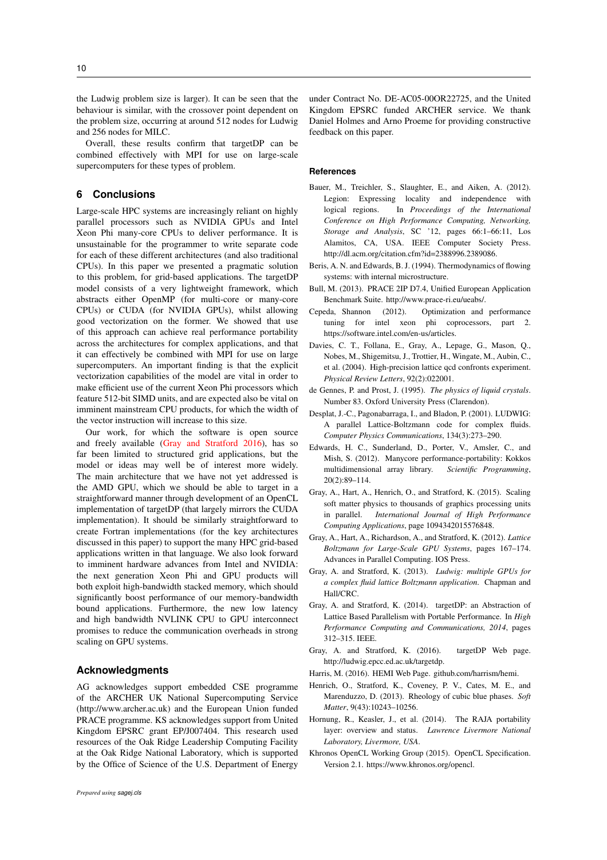the Ludwig problem size is larger). It can be seen that the behaviour is similar, with the crossover point dependent on the problem size, occurring at around 512 nodes for Ludwig and 256 nodes for MILC.

Overall, these results confirm that targetDP can be combined effectively with MPI for use on large-scale supercomputers for these types of problem.

# **6 Conclusions**

Large-scale HPC systems are increasingly reliant on highly parallel processors such as NVIDIA GPUs and Intel Xeon Phi many-core CPUs to deliver performance. It is unsustainable for the programmer to write separate code for each of these different architectures (and also traditional CPUs). In this paper we presented a pragmatic solution to this problem, for grid-based applications. The targetDP model consists of a very lightweight framework, which abstracts either OpenMP (for multi-core or many-core CPUs) or CUDA (for NVIDIA GPUs), whilst allowing good vectorization on the former. We showed that use of this approach can achieve real performance portability across the architectures for complex applications, and that it can effectively be combined with MPI for use on large supercomputers. An important finding is that the explicit vectorization capabilities of the model are vital in order to make efficient use of the current Xeon Phi processors which feature 512-bit SIMD units, and are expected also be vital on imminent mainstream CPU products, for which the width of the vector instruction will increase to this size.

Our work, for which the software is open source and freely available (Gray and Stratford 2016), has so far been limited to structured grid applications, but the model or ideas may well be of interest more widely. The main architecture that we have not yet addressed is the AMD GPU, which we should be able to target in a straightforward manner through development of an OpenCL implementation of targetDP (that largely mirrors the CUDA implementation). It should be similarly straightforward to create Fortran implementations (for the key architectures discussed in this paper) to support the many HPC grid-based applications written in that language. We also look forward to imminent hardware advances from Intel and NVIDIA: the next generation Xeon Phi and GPU products will both exploit high-bandwidth stacked memory, which should significantly boost performance of our memory-bandwidth bound applications. Furthermore, the new low latency and high bandwidth NVLINK CPU to GPU interconnect promises to reduce the communication overheads in strong scaling on GPU systems.

## **Acknowledgments**

AG acknowledges support embedded CSE programme of the ARCHER UK National Supercomputing Service (http://www.archer.ac.uk) and the European Union funded PRACE programme. KS acknowledges support from United Kingdom EPSRC grant EP/J007404. This research used resources of the Oak Ridge Leadership Computing Facility at the Oak Ridge National Laboratory, which is supported by the Office of Science of the U.S. Department of Energy

under Contract No. DE-AC05-00OR22725, and the United Kingdom EPSRC funded ARCHER service. We thank Daniel Holmes and Arno Proeme for providing constructive feedback on this paper.

## **References**

- Bauer, M., Treichler, S., Slaughter, E., and Aiken, A. (2012). Legion: Expressing locality and independence with logical regions. In *Proceedings of the International Conference on High Performance Computing, Networking, Storage and Analysis*, SC '12, pages 66:1–66:11, Los Alamitos, CA, USA. IEEE Computer Society Press. http://dl.acm.org/citation.cfm?id=2388996.2389086.
- Beris, A. N. and Edwards, B. J. (1994). Thermodynamics of flowing systems: with internal microstructure.
- Bull, M. (2013). PRACE 2IP D7.4, Unified European Application Benchmark Suite. http://www.prace-ri.eu/ueabs/.
- Cepeda, Shannon (2012). Optimization and performance tuning for intel xeon phi coprocessors, part 2. https://software.intel.com/en-us/articles.
- Davies, C. T., Follana, E., Gray, A., Lepage, G., Mason, Q., Nobes, M., Shigemitsu, J., Trottier, H., Wingate, M., Aubin, C., et al. (2004). High-precision lattice qcd confronts experiment. *Physical Review Letters*, 92(2):022001.
- de Gennes, P. and Prost, J. (1995). *The physics of liquid crystals*. Number 83. Oxford University Press (Clarendon).
- Desplat, J.-C., Pagonabarraga, I., and Bladon, P. (2001). LUDWIG: A parallel Lattice-Boltzmann code for complex fluids. *Computer Physics Communications*, 134(3):273–290.
- Edwards, H. C., Sunderland, D., Porter, V., Amsler, C., and Mish, S. (2012). Manycore performance-portability: Kokkos multidimensional array library. *Scientific Programming*, 20(2):89–114.
- Gray, A., Hart, A., Henrich, O., and Stratford, K. (2015). Scaling soft matter physics to thousands of graphics processing units in parallel. *International Journal of High Performance Computing Applications*, page 1094342015576848.
- Gray, A., Hart, A., Richardson, A., and Stratford, K. (2012). *Lattice Boltzmann for Large-Scale GPU Systems*, pages 167–174. Advances in Parallel Computing. IOS Press.
- Gray, A. and Stratford, K. (2013). *Ludwig: multiple GPUs for a complex fluid lattice Boltzmann application*. Chapman and Hall/CRC.
- Gray, A. and Stratford, K. (2014). targetDP: an Abstraction of Lattice Based Parallelism with Portable Performance. In *High Performance Computing and Communications, 2014*, pages 312–315. IEEE.
- Gray, A. and Stratford, K. (2016). targetDP Web page. http://ludwig.epcc.ed.ac.uk/targetdp.
- Harris, M. (2016). HEMI Web Page. github.com/harrism/hemi.
- Henrich, O., Stratford, K., Coveney, P. V., Cates, M. E., and Marenduzzo, D. (2013). Rheology of cubic blue phases. *Soft Matter*, 9(43):10243–10256.
- Hornung, R., Keasler, J., et al. (2014). The RAJA portability layer: overview and status. *Lawrence Livermore National Laboratory, Livermore, USA*.
- Khronos OpenCL Working Group (2015). OpenCL Specification. Version 2.1. https://www.khronos.org/opencl.